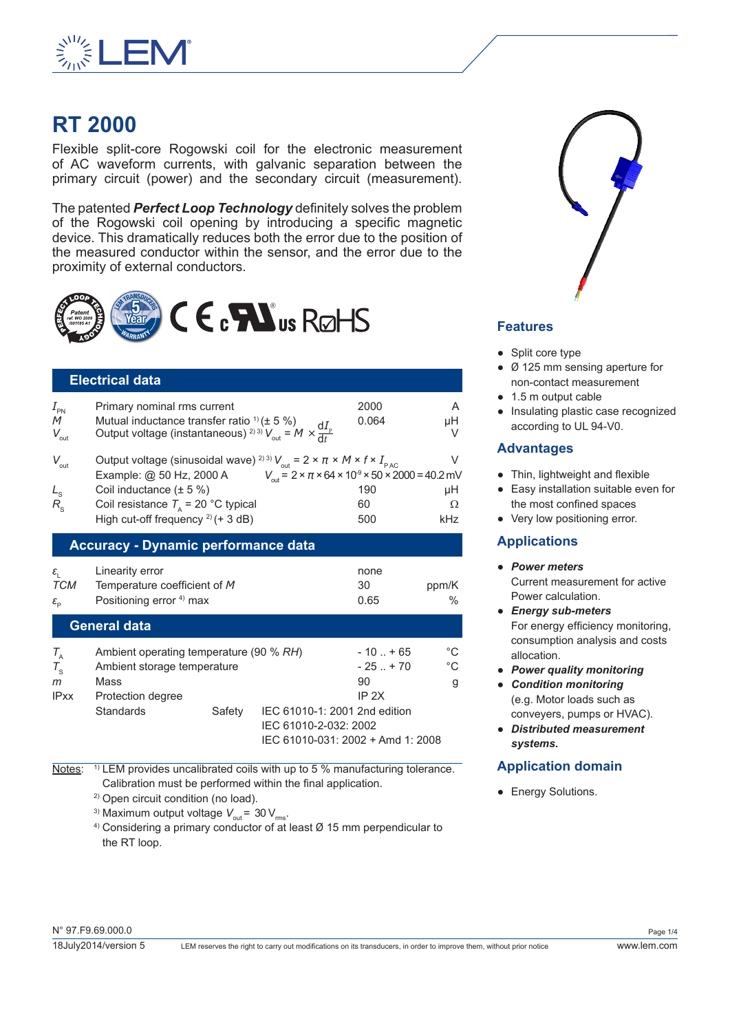

# **RT 2000**

Flexible split-core Rogowski coil for the electronic measurement of AC waveform currents, with galvanic separation between the primary circuit (power) and the secondary circuit (measurement).

The patented *Perfect Loop Technology* definitely solves the problem of the Rogowski coil opening by introducing a specific magnetic device. This dramatically reduces both the error due to the position of the measured conductor within the sensor, and the error due to the proximity of external conductors.



## **Electrical data**

| $I_{\tiny{\sf PN}}$<br>M<br>$V_{\text{out}}$ | Primary nominal rms current<br>Mutual inductance transfer ratio <sup>1</sup> ) ( $\pm$ 5 %)<br>Output voltage (instantaneous) <sup>2) 3)</sup> $V_{\text{out}} = M \times \frac{dI_p}{dt}$ | 2000<br>0.064                                                                                   | A<br>μH |  |
|----------------------------------------------|--------------------------------------------------------------------------------------------------------------------------------------------------------------------------------------------|-------------------------------------------------------------------------------------------------|---------|--|
| $V_{\text{out}}$                             | Output voltage (sinusoidal wave) <sup>2)3)</sup> $V_{\text{out}} = 2 \times \pi \times M \times f \times I_{\text{PAC}}$<br>Example: @ 50 Hz, 2000 A                                       | $V_{\text{out}} = 2 \times \pi \times 64 \times 10^{9} \times 50 \times 2000 = 40.2 \text{ mV}$ | V       |  |
| $L_{\rm s}$                                  | Coil inductance $(\pm 5\%)$                                                                                                                                                                | 190                                                                                             | μH      |  |
| $R_{\rm s}$                                  | Coil resistance $T_a$ = 20 °C typical                                                                                                                                                      | 60                                                                                              | Ω       |  |
|                                              | High cut-off frequency $^{2)}$ (+ 3 dB)                                                                                                                                                    | 500                                                                                             | kHz     |  |
| <b>Accuracy - Dynamic performance data</b>   |                                                                                                                                                                                            |                                                                                                 |         |  |
|                                              |                                                                                                                                                                                            |                                                                                                 |         |  |

| ε.                                      | Linearity error                     | none |       |
|-----------------------------------------|-------------------------------------|------|-------|
| TCM                                     | Temperature coefficient of M        | 30   | ppm/K |
| $\varepsilon_{\scriptscriptstyle \Box}$ | Positioning error <sup>4)</sup> max | 0.65 | $\%$  |

# **General data**

| $T_{\rm A}$ | Ambient operating temperature (90 % RH) |        |                                   | $-10$ $+65$ | °C |
|-------------|-----------------------------------------|--------|-----------------------------------|-------------|----|
| $T_{\rm c}$ | Ambient storage temperature             |        |                                   | $-25$ $+70$ | °C |
| m           | Mass                                    |        |                                   | 90          | g  |
| <b>IPxx</b> | Protection degree                       |        |                                   | IP 2X       |    |
|             | <b>Standards</b>                        | Safety | IEC 61010-1: 2001 2nd edition     |             |    |
|             |                                         |        | IEC 61010-2-032: 2002             |             |    |
|             |                                         |        | IEC 61010-031: 2002 + Amd 1: 2008 |             |    |

Notes: <sup>1)</sup> LEM provides uncalibrated coils with up to 5 % manufacturing tolerance. Calibration must be performed within the final application.

2) Open circuit condition (no load).

<sup>3)</sup> Maximum output voltage  $V_{\text{out}}$  = 30  $V_{\text{rms}}$ .

 $4)$  Considering a primary conductor of at least  $\varnothing$  15 mm perpendicular to the RT loop.



## **Features**

- Split core type
- Ø 125 mm sensing aperture for non-contact measurement
- 1.5 m output cable
- Insulating plastic case recognized according to UL 94-V0.

## **Advantages**

- Thin, lightweight and flexible
- Easy installation suitable even for the most confined spaces
- Very low positioning error.

## **Applications**

- *Power meters* Current measurement for active Power calculation.
- *Energy sub-meters* For energy efficiency monitoring, consumption analysis and costs allocation.
- *Power quality monitoring*
- *Condition monitoring* (e.g. Motor loads such as conveyers, pumps or HVAC).
- *Distributed measurement systems.*

# **Application domain**

• Energy Solutions.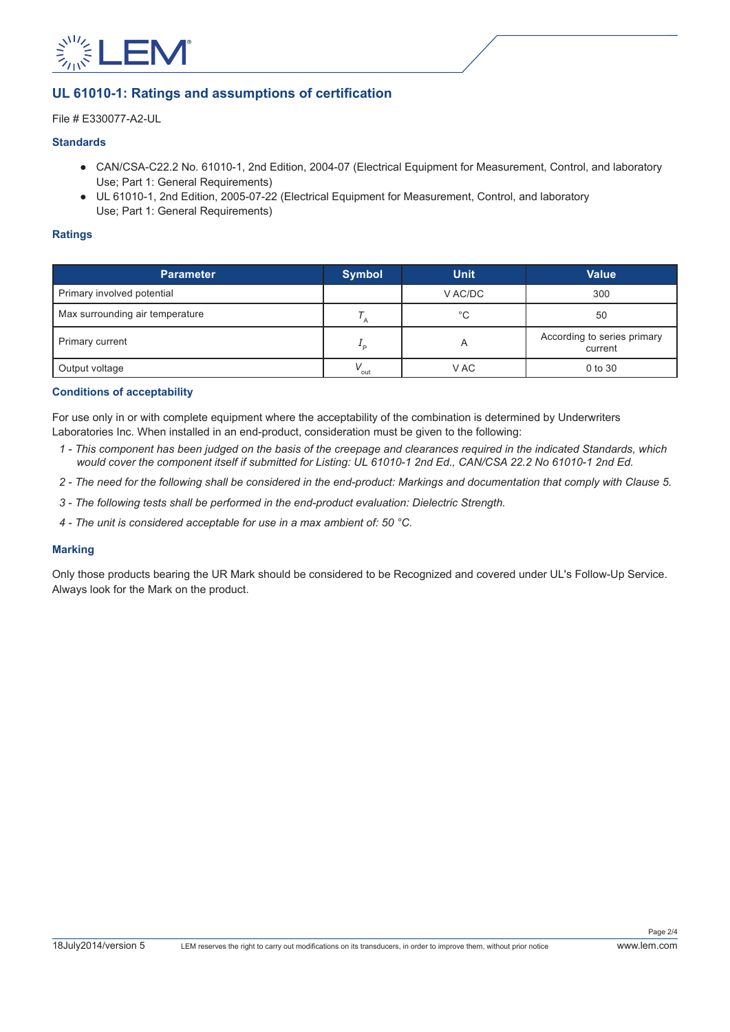

## **UL 61010-1: Ratings and assumptions of certification**

File # E330077-A2-UL

### **Standards**

- CAN/CSA-C22.2 No. 61010-1, 2nd Edition, 2004-07 (Electrical Equipment for Measurement, Control, and laboratory Use; Part 1: General Requirements)
- UL 61010-1, 2nd Edition, 2005-07-22 (Electrical Equipment for Measurement, Control, and laboratory Use; Part 1: General Requirements)

#### **Ratings**

| <b>Parameter</b>                | <b>Symbol</b>    | <b>Unit</b> | <b>Value</b>                           |
|---------------------------------|------------------|-------------|----------------------------------------|
| Primary involved potential      |                  | V AC/DC     | 300                                    |
| Max surrounding air temperature |                  | $^{\circ}C$ | 50                                     |
| Primary current                 | ∸ ⊳              |             | According to series primary<br>current |
| Output voltage                  | $V_{\text{out}}$ | V AC        | 0 to 30                                |

#### **Conditions of acceptability**

For use only in or with complete equipment where the acceptability of the combination is determined by Underwriters Laboratories Inc. When installed in an end-product, consideration must be given to the following:

- *1 This component has been judged on the basis of the creepage and clearances required in the indicated Standards, which would cover the component itself if submitted for Listing: UL 61010-1 2nd Ed., CAN/CSA 22.2 No 61010-1 2nd Ed.*
- *2 The need for the following shall be considered in the end-product: Markings and documentation that comply with Clause 5.*
- *3 The following tests shall be performed in the end-product evaluation: Dielectric Strength.*
- *4 The unit is considered acceptable for use in a max ambient of: 50 °C.*

#### **Marking**

Only those products bearing the UR Mark should be considered to be Recognized and covered under UL's Follow-Up Service. Always look for the Mark on the product.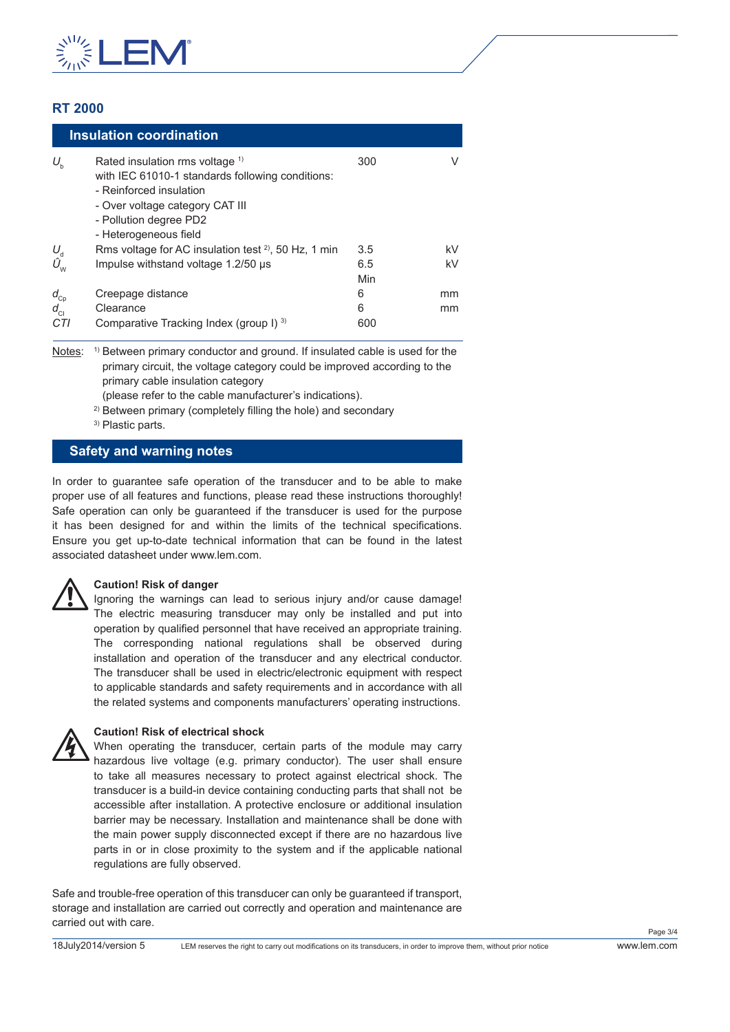

# **RT 2000**

|                        | <b>Insulation coordination</b>                                                                                                                                                                                  |            |    |
|------------------------|-----------------------------------------------------------------------------------------------------------------------------------------------------------------------------------------------------------------|------------|----|
| $U_{\rm b}$            | Rated insulation rms voltage <sup>1)</sup><br>with IEC 61010-1 standards following conditions:<br>- Reinforced insulation<br>- Over voltage category CAT III<br>- Pollution degree PD2<br>- Heterogeneous field | 300        |    |
| $U_{\rm d}$            | Rms voltage for AC insulation test $2^2$ , 50 Hz, 1 min                                                                                                                                                         | 3.5        | kV |
| $\hat{U}_{\mathsf{w}}$ | Impulse withstand voltage 1.2/50 µs                                                                                                                                                                             | 6.5<br>Min | kV |
| $d_{Cp}$               | Creepage distance                                                                                                                                                                                               | 6          | mm |
| $d_{\rm cl}$           | Clearance                                                                                                                                                                                                       | 6          | mm |
| CTI                    | Comparative Tracking Index (group I) 3)                                                                                                                                                                         | 600        |    |

Notes: <sup>1)</sup> Between primary conductor and ground. If insulated cable is used for the primary circuit, the voltage category could be improved according to the primary cable insulation category

(please refer to the cable manufacturer's indications).

<sup>2)</sup> Between primary (completely filling the hole) and secondary

3) Plastic parts.

## **Safety and warning notes**

In order to guarantee safe operation of the transducer and to be able to make proper use of all features and functions, please read these instructions thoroughly! Safe operation can only be guaranteed if the transducer is used for the purpose it has been designed for and within the limits of the technical specifications. Ensure you get up-to-date technical information that can be found in the latest associated datasheet under www.lem.com.

#### **Caution! Risk of danger**

Ignoring the warnings can lead to serious injury and/or cause damage! The electric measuring transducer may only be installed and put into operation by qualified personnel that have received an appropriate training. The corresponding national regulations shall be observed during installation and operation of the transducer and any electrical conductor. The transducer shall be used in electric/electronic equipment with respect to applicable standards and safety requirements and in accordance with all the related systems and components manufacturers' operating instructions.



### **Caution! Risk of electrical shock**

When operating the transducer, certain parts of the module may carry hazardous live voltage (e.g. primary conductor). The user shall ensure to take all measures necessary to protect against electrical shock. The transducer is a build-in device containing conducting parts that shall not be accessible after installation. A protective enclosure or additional insulation barrier may be necessary. Installation and maintenance shall be done with the main power supply disconnected except if there are no hazardous live parts in or in close proximity to the system and if the applicable national regulations are fully observed.

Safe and trouble-free operation of this transducer can only be guaranteed if transport, storage and installation are carried out correctly and operation and maintenance are carried out with care.